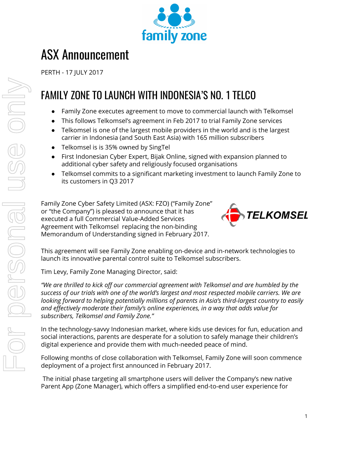

# ASX Announcement

PERTH - 17 JULY 2017

## FAMILY ZONE TO LAUNCH WITH INDONESIA'S NO. 1 TELCO

- Family Zone executes agreement to move to commercial launch with Telkomsel
- This follows Telkomsel's agreement in Feb 2017 to trial Family Zone services
- Telkomsel is one of the largest mobile providers in the world and is the largest carrier in Indonesia (and South East Asia) with 165 million subscribers
- Telkomsel is is 35% owned by SingTel
- First Indonesian Cyber Expert, Bijak Online, signed with expansion planned to additional cyber safety and religiously focused organisations
- Telkomsel commits to a significant marketing investment to launch Family Zone to its customers in Q3 2017

Family Zone Cyber Safety Limited (ASX: FZO) ("Family Zone" or "the Company") is pleased to announce that it has executed a full Commercial Value-Added Services Agreement with Telkomsel replacing the non-binding Memorandum of Understanding signed in February 2017.



This agreement will see Family Zone enabling on-device and in-network technologies to launch its innovative parental control suite to Telkomsel subscribers.

Tim Levy, Family Zone Managing Director, said:

*"We are thrilled to kick off our commercial agreement with Telkomsel and are humbled by the success of our trials with one of the world's largest and most respected mobile carriers. We are looking forward to helping potentially millions of parents in Asia's third-largest country to easily and effectively moderate their family's online experiences, in a way that adds value for subscribers, Telkomsel and Family Zone."*

In the technology-savvy Indonesian market, where kids use devices for fun, education and social interactions, parents are desperate for a solution to safely manage their children's digital experience and provide them with much-needed peace of mind.

Following months of close collaboration with Telkomsel, Family Zone will soon commence deployment of a project first announced in February 2017.

The initial phase targeting all smartphone users will deliver the Company's new native Parent App (Zone Manager), which offers a simplified end-to-end user experience for